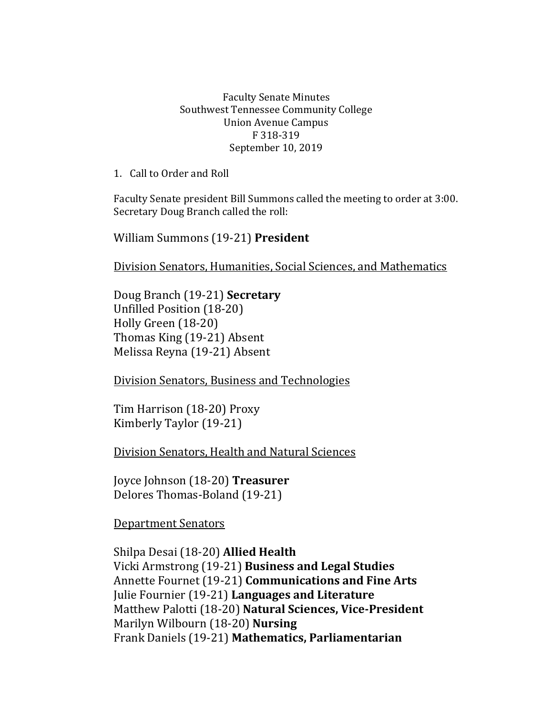## Faculty Senate Minutes Southwest Tennessee Community College Union Avenue Campus F 318-319 September 10, 2019

1. Call to Order and Roll

Faculty Senate president Bill Summons called the meeting to order at 3:00. Secretary Doug Branch called the roll:

William Summons (19-21) **President**

Division Senators, Humanities, Social Sciences, and Mathematics

Doug Branch (19-21) **Secretary** Unfilled Position (18-20) Holly Green (18-20) Thomas King (19-21) Absent Melissa Reyna (19-21) Absent

Division Senators, Business and Technologies

Tim Harrison (18-20) Proxy Kimberly Taylor (19-21)

Division Senators, Health and Natural Sciences

Joyce Johnson (18-20) **Treasurer** Delores Thomas-Boland (19-21)

Department Senators

Shilpa Desai (18-20) **Allied Health** Vicki Armstrong (19-21) **Business and Legal Studies**  Annette Fournet (19-21) **Communications and Fine Arts** Julie Fournier (19-21) **Languages and Literature** Matthew Palotti (18-20) **Natural Sciences, Vice-President** Marilyn Wilbourn (18-20) **Nursing** Frank Daniels (19-21) **Mathematics, Parliamentarian**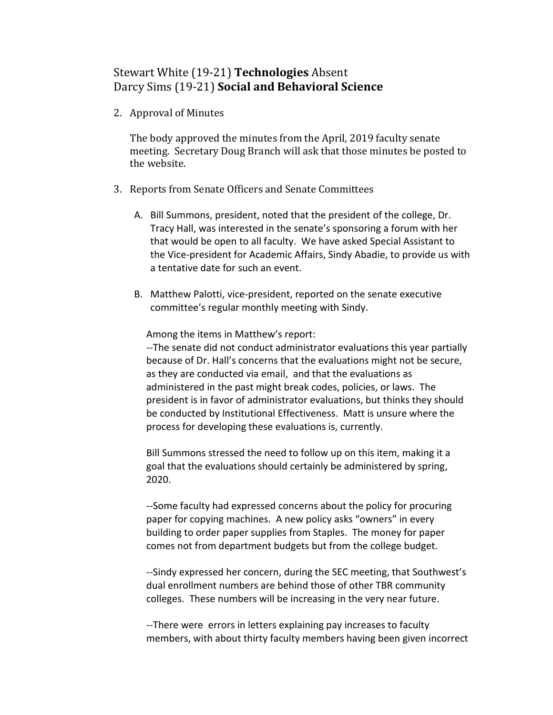## Stewart White (19-21) **Technologies** Absent Darcy Sims (19-21) **Social and Behavioral Science**

2. Approval of Minutes

The body approved the minutes from the April, 2019 faculty senate meeting. Secretary Doug Branch will ask that those minutes be posted to the website.

- 3. Reports from Senate Officers and Senate Committees
	- A. Bill Summons, president, noted that the president of the college, Dr. Tracy Hall, was interested in the senate's sponsoring a forum with her that would be open to all faculty. We have asked Special Assistant to the Vice-president for Academic Affairs, Sindy Abadie, to provide us with a tentative date for such an event.
	- B. Matthew Palotti, vice-president, reported on the senate executive committee's regular monthly meeting with Sindy.

Among the items in Matthew's report:

--The senate did not conduct administrator evaluations this year partially because of Dr. Hall's concerns that the evaluations might not be secure, as they are conducted via email, and that the evaluations as administered in the past might break codes, policies, or laws. The president is in favor of administrator evaluations, but thinks they should be conducted by Institutional Effectiveness. Matt is unsure where the process for developing these evaluations is, currently.

Bill Summons stressed the need to follow up on this item, making it a goal that the evaluations should certainly be administered by spring, 2020.

--Some faculty had expressed concerns about the policy for procuring paper for copying machines. A new policy asks "owners" in every building to order paper supplies from Staples. The money for paper comes not from department budgets but from the college budget.

--Sindy expressed her concern, during the SEC meeting, that Southwest's dual enrollment numbers are behind those of other TBR community colleges. These numbers will be increasing in the very near future.

--There were errors in letters explaining pay increases to faculty members, with about thirty faculty members having been given incorrect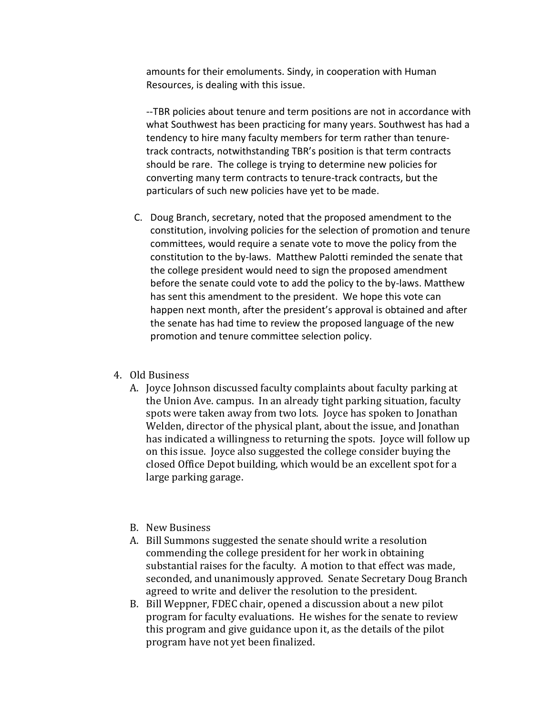amounts for their emoluments. Sindy, in cooperation with Human Resources, is dealing with this issue.

--TBR policies about tenure and term positions are not in accordance with what Southwest has been practicing for many years. Southwest has had a tendency to hire many faculty members for term rather than tenuretrack contracts, notwithstanding TBR's position is that term contracts should be rare. The college is trying to determine new policies for converting many term contracts to tenure-track contracts, but the particulars of such new policies have yet to be made.

C. Doug Branch, secretary, noted that the proposed amendment to the constitution, involving policies for the selection of promotion and tenure committees, would require a senate vote to move the policy from the constitution to the by-laws. Matthew Palotti reminded the senate that the college president would need to sign the proposed amendment before the senate could vote to add the policy to the by-laws. Matthew has sent this amendment to the president. We hope this vote can happen next month, after the president's approval is obtained and after the senate has had time to review the proposed language of the new promotion and tenure committee selection policy.

## 4. Old Business

A. Joyce Johnson discussed faculty complaints about faculty parking at the Union Ave. campus. In an already tight parking situation, faculty spots were taken away from two lots. Joyce has spoken to Jonathan Welden, director of the physical plant, about the issue, and Jonathan has indicated a willingness to returning the spots. Joyce will follow up on this issue. Joyce also suggested the college consider buying the closed Office Depot building, which would be an excellent spot for a large parking garage.

## B. New Business

- A. Bill Summons suggested the senate should write a resolution commending the college president for her work in obtaining substantial raises for the faculty. A motion to that effect was made, seconded, and unanimously approved. Senate Secretary Doug Branch agreed to write and deliver the resolution to the president.
- B. Bill Weppner, FDEC chair, opened a discussion about a new pilot program for faculty evaluations. He wishes for the senate to review this program and give guidance upon it, as the details of the pilot program have not yet been finalized.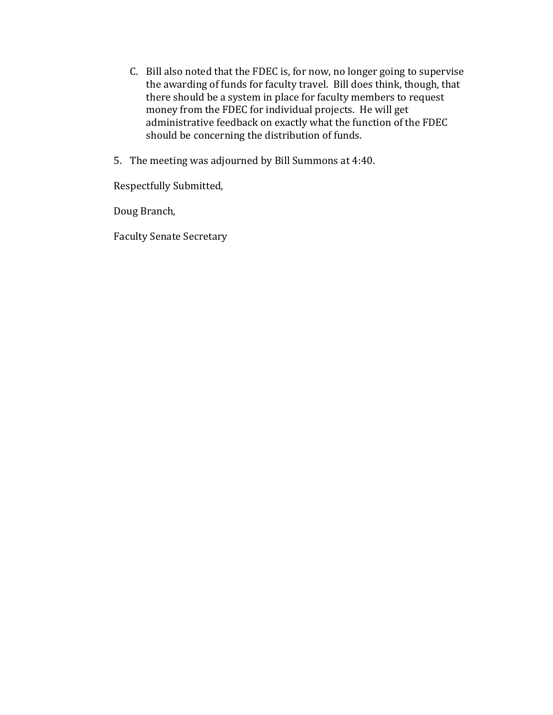- C. Bill also noted that the FDEC is, for now, no longer going to supervise the awarding of funds for faculty travel. Bill does think, though, that there should be a system in place for faculty members to request money from the FDEC for individual projects. He will get administrative feedback on exactly what the function of the FDEC should be concerning the distribution of funds.
- 5. The meeting was adjourned by Bill Summons at 4:40.

Respectfully Submitted,

Doug Branch,

Faculty Senate Secretary